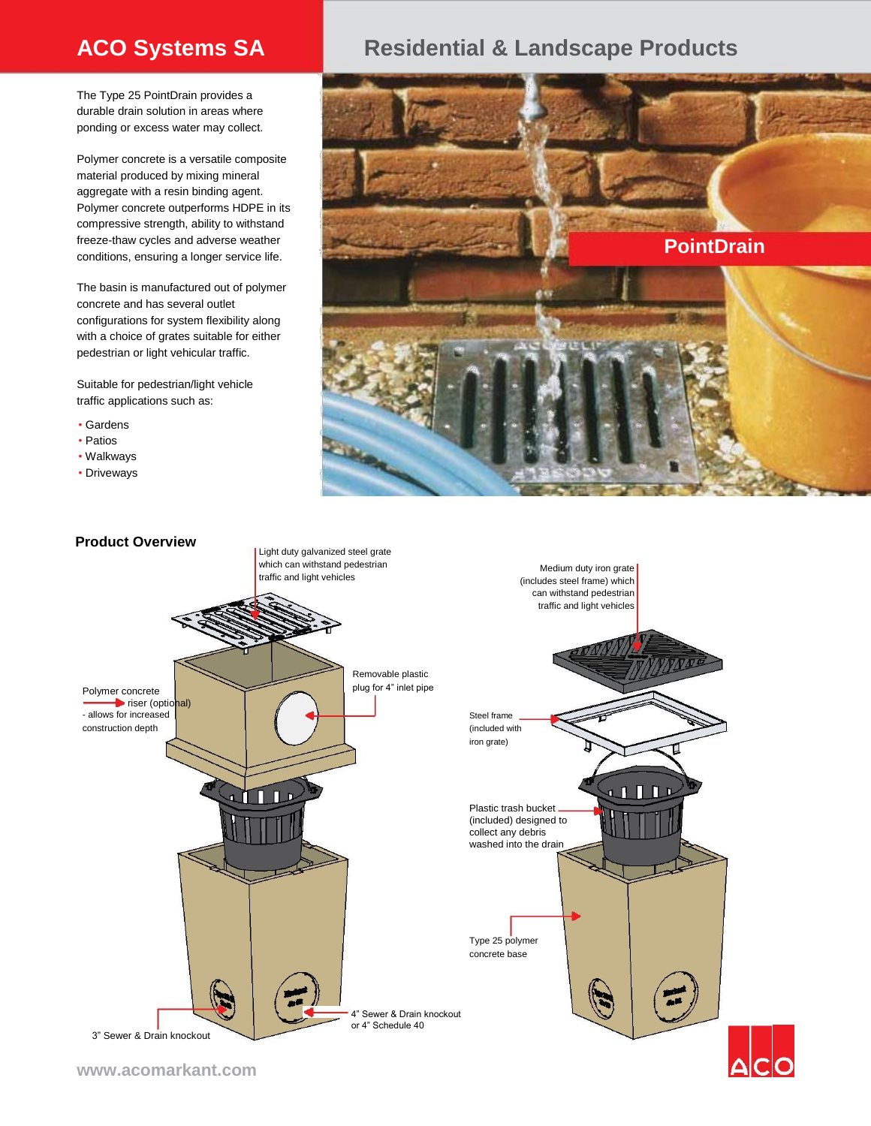The Type 25 PointDrain provides a durable drain solution in areas where ponding or excess water may collect.

Polymer concrete is a versatile composite material produced by mixing mineral aggregate with a resin binding agent. Polymer concrete outperforms HDPE in its compressive strength, ability to withstand freeze-thaw cycles and adverse weather conditions, ensuring a longer service life.

The basin is manufactured out of polymer concrete and has several outlet configurations for system flexibility along with a choice of grates suitable for either pedestrian or light vehicular traffic.

Suitable for pedestrian/light vehicle traffic applications such as:

- Gardens
- Patios
- Walkways

• Driveways

## **ACO Systems SA Residential & Landscape Products**





**www.acomarkant.com**